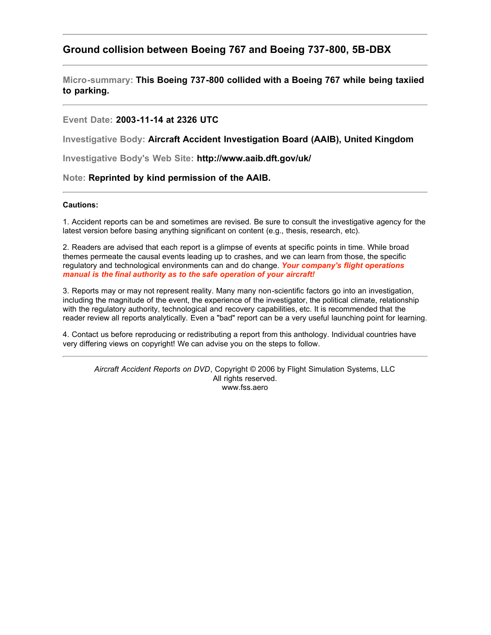# **Ground collision between Boeing 767 and Boeing 737-800, 5B-DBX**

**Micro-summary: This Boeing 737-800 collided with a Boeing 767 while being taxiied to parking.**

#### **Event Date: 2003-11-14 at 2326 UTC**

**Investigative Body: Aircraft Accident Investigation Board (AAIB), United Kingdom**

**Investigative Body's Web Site: http://www.aaib.dft.gov/uk/**

#### **Note: Reprinted by kind permission of the AAIB.**

#### **Cautions:**

1. Accident reports can be and sometimes are revised. Be sure to consult the investigative agency for the latest version before basing anything significant on content (e.g., thesis, research, etc).

2. Readers are advised that each report is a glimpse of events at specific points in time. While broad themes permeate the causal events leading up to crashes, and we can learn from those, the specific regulatory and technological environments can and do change. *Your company's flight operations manual is the final authority as to the safe operation of your aircraft!*

3. Reports may or may not represent reality. Many many non-scientific factors go into an investigation, including the magnitude of the event, the experience of the investigator, the political climate, relationship with the regulatory authority, technological and recovery capabilities, etc. It is recommended that the reader review all reports analytically. Even a "bad" report can be a very useful launching point for learning.

4. Contact us before reproducing or redistributing a report from this anthology. Individual countries have very differing views on copyright! We can advise you on the steps to follow.

*Aircraft Accident Reports on DVD*, Copyright © 2006 by Flight Simulation Systems, LLC All rights reserved. www.fss.aero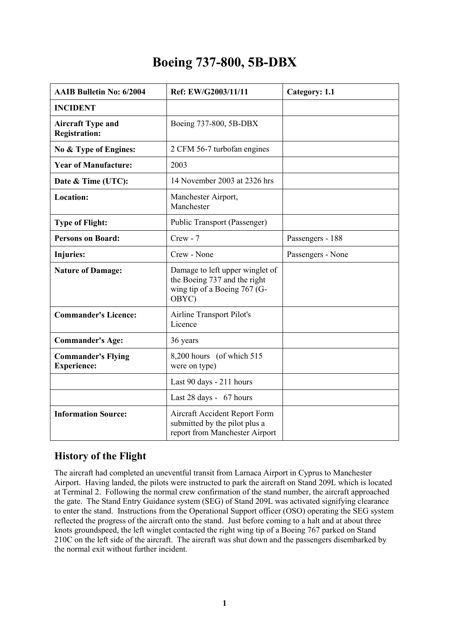# **Boeing 737-800, 5B-DBX**

| <b>AAIB Bulletin No: 6/2004</b>                  | Ref: EW/G2003/11/11                                                                                      | Category: 1.1     |
|--------------------------------------------------|----------------------------------------------------------------------------------------------------------|-------------------|
| <b>INCIDENT</b>                                  |                                                                                                          |                   |
| <b>Aircraft Type and</b><br><b>Registration:</b> | Boeing 737-800, 5B-DBX                                                                                   |                   |
| No & Type of Engines:                            | 2 CFM 56-7 turbofan engines                                                                              |                   |
| <b>Year of Manufacture:</b>                      | 2003                                                                                                     |                   |
| Date & Time (UTC):                               | 14 November 2003 at 2326 hrs                                                                             |                   |
| <b>Location:</b>                                 | Manchester Airport,<br>Manchester                                                                        |                   |
| <b>Type of Flight:</b>                           | Public Transport (Passenger)                                                                             |                   |
| <b>Persons on Board:</b>                         | $Crew - 7$                                                                                               | Passengers - 188  |
| <b>Injuries:</b>                                 | Crew - None                                                                                              | Passengers - None |
| <b>Nature of Damage:</b>                         | Damage to left upper winglet of<br>the Boeing 737 and the right<br>wing tip of a Boeing 767 (G-<br>OBYC) |                   |
| <b>Commander's Licence:</b>                      | Airline Transport Pilot's<br>Licence                                                                     |                   |
| <b>Commander's Age:</b>                          | 36 years                                                                                                 |                   |
| <b>Commander's Flying</b><br><b>Experience:</b>  | 8,200 hours (of which 515)<br>were on type)                                                              |                   |
|                                                  | Last 90 days - 211 hours                                                                                 |                   |
|                                                  | Last 28 days - 67 hours                                                                                  |                   |
| <b>Information Source:</b>                       | Aircraft Accident Report Form<br>submitted by the pilot plus a<br>report from Manchester Airport         |                   |

# **History of the Flight**

The aircraft had completed an uneventful transit from Larnaca Airport in Cyprus to Manchester Airport. Having landed, the pilots were instructed to park the aircraft on Stand 209L which is located at Terminal 2. Following the normal crew confirmation of the stand number, the aircraft approached the gate. The Stand Entry Guidance system (SEG) of Stand 209L was activated signifying clearance to enter the stand. Instructions from the Operational Support officer (OSO) operating the SEG system reflected the progress of the aircraft onto the stand. Just before coming to a halt and at about three knots groundspeed, the left winglet contacted the right wing tip of a Boeing 767 parked on Stand 210C on the left side of the aircraft. The aircraft was shut down and the passengers disembarked by the normal exit without further incident.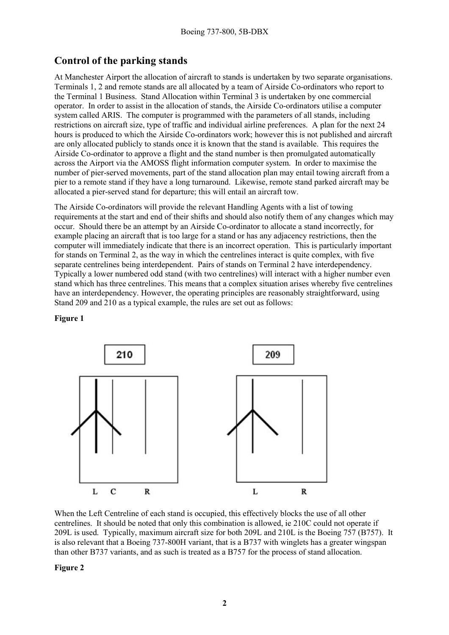# **Control of the parking stands**

At Manchester Airport the allocation of aircraft to stands is undertaken by two separate organisations. Terminals 1, 2 and remote stands are all allocated by a team of Airside Co-ordinators who report to the Terminal 1 Business. Stand Allocation within Terminal 3 is undertaken by one commercial operator. In order to assist in the allocation of stands, the Airside Co-ordinators utilise a computer system called ARIS. The computer is programmed with the parameters of all stands, including restrictions on aircraft size, type of traffic and individual airline preferences. A plan for the next 24 hours is produced to which the Airside Co-ordinators work; however this is not published and aircraft are only allocated publicly to stands once it is known that the stand is available. This requires the Airside Co-ordinator to approve a flight and the stand number is then promulgated automatically across the Airport via the AMOSS flight information computer system. In order to maximise the number of pier-served movements, part of the stand allocation plan may entail towing aircraft from a pier to a remote stand if they have a long turnaround. Likewise, remote stand parked aircraft may be allocated a pier-served stand for departure; this will entail an aircraft tow.

The Airside Co-ordinators will provide the relevant Handling Agents with a list of towing requirements at the start and end of their shifts and should also notify them of any changes which may occur. Should there be an attempt by an Airside Co-ordinator to allocate a stand incorrectly, for example placing an aircraft that is too large for a stand or has any adjacency restrictions, then the computer will immediately indicate that there is an incorrect operation. This is particularly important for stands on Terminal 2, as the way in which the centrelines interact is quite complex, with five separate centrelines being interdependent. Pairs of stands on Terminal 2 have interdependency. Typically a lower numbered odd stand (with two centrelines) will interact with a higher number even stand which has three centrelines. This means that a complex situation arises whereby five centrelines have an interdependency. However, the operating principles are reasonably straightforward, using Stand 209 and 210 as a typical example, the rules are set out as follows:

**Figure 1** 



When the Left Centreline of each stand is occupied, this effectively blocks the use of all other centrelines. It should be noted that only this combination is allowed, ie 210C could not operate if 209L is used. Typically, maximum aircraft size for both 209L and 210L is the Boeing 757 (B757). It is also relevant that a Boeing 737-800H variant, that is a B737 with winglets has a greater wingspan than other B737 variants, and as such is treated as a B757 for the process of stand allocation.

**Figure 2**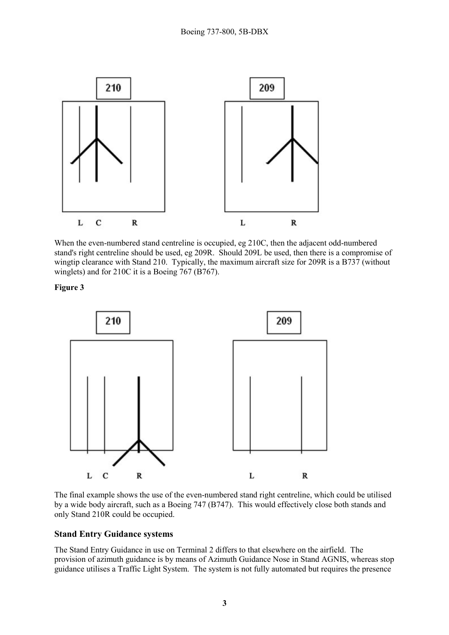

When the even-numbered stand centreline is occupied, eg 210C, then the adjacent odd-numbered stand's right centreline should be used, eg 209R. Should 209L be used, then there is a compromise of wingtip clearance with Stand 210. Typically, the maximum aircraft size for 209R is a B737 (without winglets) and for 210C it is a Boeing 767 (B767).

**Figure 3** 



The final example shows the use of the even-numbered stand right centreline, which could be utilised by a wide body aircraft, such as a Boeing 747 (B747). This would effectively close both stands and only Stand 210R could be occupied.

## **Stand Entry Guidance systems**

The Stand Entry Guidance in use on Terminal 2 differs to that elsewhere on the airfield. The provision of azimuth guidance is by means of Azimuth Guidance Nose in Stand AGNIS, whereas stop guidance utilises a Traffic Light System. The system is not fully automated but requires the presence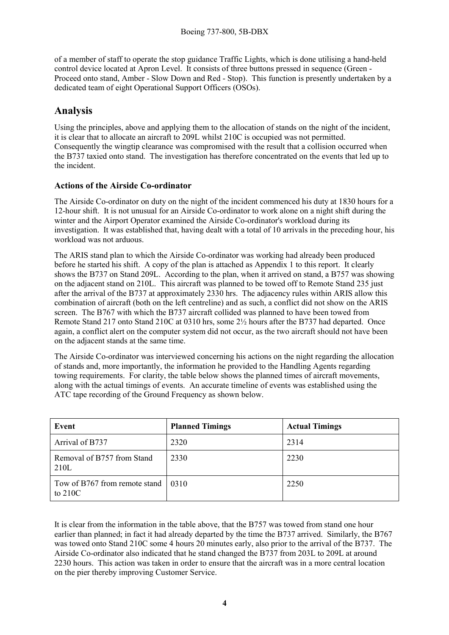of a member of staff to operate the stop guidance Traffic Lights, which is done utilising a hand-held control device located at Apron Level. It consists of three buttons pressed in sequence (Green - Proceed onto stand, Amber - Slow Down and Red - Stop). This function is presently undertaken by a dedicated team of eight Operational Support Officers (OSOs).

# **Analysis**

Using the principles, above and applying them to the allocation of stands on the night of the incident, it is clear that to allocate an aircraft to 209L whilst 210C is occupied was not permitted. Consequently the wingtip clearance was compromised with the result that a collision occurred when the B737 taxied onto stand. The investigation has therefore concentrated on the events that led up to the incident.

# **Actions of the Airside Co-ordinator**

The Airside Co-ordinator on duty on the night of the incident commenced his duty at 1830 hours for a 12-hour shift. It is not unusual for an Airside Co-ordinator to work alone on a night shift during the winter and the Airport Operator examined the Airside Co-ordinator's workload during its investigation. It was established that, having dealt with a total of 10 arrivals in the preceding hour, his workload was not arduous.

The ARIS stand plan to which the Airside Co-ordinator was working had already been produced before he started his shift. A copy of the plan is attached as Appendix 1 to this report. It clearly shows the B737 on Stand 209L. According to the plan, when it arrived on stand, a B757 was showing on the adjacent stand on 210L. This aircraft was planned to be towed off to Remote Stand 235 just after the arrival of the B737 at approximately 2330 hrs. The adjacency rules within ARIS allow this combination of aircraft (both on the left centreline) and as such, a conflict did not show on the ARIS screen. The B767 with which the B737 aircraft collided was planned to have been towed from Remote Stand 217 onto Stand 210C at 0310 hrs, some 2½ hours after the B737 had departed. Once again, a conflict alert on the computer system did not occur, as the two aircraft should not have been on the adjacent stands at the same time.

The Airside Co-ordinator was interviewed concerning his actions on the night regarding the allocation of stands and, more importantly, the information he provided to the Handling Agents regarding towing requirements. For clarity, the table below shows the planned times of aircraft movements, along with the actual timings of events. An accurate timeline of events was established using the ATC tape recording of the Ground Frequency as shown below.

| Event                                        | <b>Planned Timings</b> | <b>Actual Timings</b> |
|----------------------------------------------|------------------------|-----------------------|
| Arrival of B737                              | 2320                   | 2314                  |
| Removal of B757 from Stand<br>210L           | 2330                   | 2230                  |
| Tow of B767 from remote stand  <br>to $210C$ | 0310                   | 2250                  |

It is clear from the information in the table above, that the B757 was towed from stand one hour earlier than planned; in fact it had already departed by the time the B737 arrived. Similarly, the B767 was towed onto Stand 210C some 4 hours 20 minutes early, also prior to the arrival of the B737. The Airside Co-ordinator also indicated that he stand changed the B737 from 203L to 209L at around 2230 hours. This action was taken in order to ensure that the aircraft was in a more central location on the pier thereby improving Customer Service.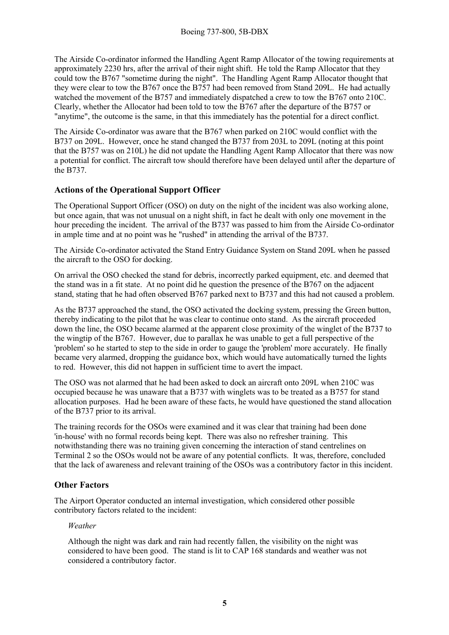The Airside Co-ordinator informed the Handling Agent Ramp Allocator of the towing requirements at approximately 2230 hrs, after the arrival of their night shift. He told the Ramp Allocator that they could tow the B767 "sometime during the night". The Handling Agent Ramp Allocator thought that they were clear to tow the B767 once the B757 had been removed from Stand 209L. He had actually watched the movement of the B757 and immediately dispatched a crew to tow the B767 onto 210C. Clearly, whether the Allocator had been told to tow the B767 after the departure of the B757 or "anytime", the outcome is the same, in that this immediately has the potential for a direct conflict.

The Airside Co-ordinator was aware that the B767 when parked on 210C would conflict with the B737 on 209L. However, once he stand changed the B737 from 203L to 209L (noting at this point that the B757 was on 210L) he did not update the Handling Agent Ramp Allocator that there was now a potential for conflict. The aircraft tow should therefore have been delayed until after the departure of the B737.

# **Actions of the Operational Support Officer**

The Operational Support Officer (OSO) on duty on the night of the incident was also working alone, but once again, that was not unusual on a night shift, in fact he dealt with only one movement in the hour preceding the incident. The arrival of the B737 was passed to him from the Airside Co-ordinator in ample time and at no point was he "rushed" in attending the arrival of the B737.

The Airside Co-ordinator activated the Stand Entry Guidance System on Stand 209L when he passed the aircraft to the OSO for docking.

On arrival the OSO checked the stand for debris, incorrectly parked equipment, etc. and deemed that the stand was in a fit state. At no point did he question the presence of the B767 on the adjacent stand, stating that he had often observed B767 parked next to B737 and this had not caused a problem.

As the B737 approached the stand, the OSO activated the docking system, pressing the Green button, thereby indicating to the pilot that he was clear to continue onto stand. As the aircraft proceeded down the line, the OSO became alarmed at the apparent close proximity of the winglet of the B737 to the wingtip of the B767. However, due to parallax he was unable to get a full perspective of the 'problem' so he started to step to the side in order to gauge the 'problem' more accurately. He finally became very alarmed, dropping the guidance box, which would have automatically turned the lights to red. However, this did not happen in sufficient time to avert the impact.

The OSO was not alarmed that he had been asked to dock an aircraft onto 209L when 210C was occupied because he was unaware that a B737 with winglets was to be treated as a B757 for stand allocation purposes. Had he been aware of these facts, he would have questioned the stand allocation of the B737 prior to its arrival.

The training records for the OSOs were examined and it was clear that training had been done 'in-house' with no formal records being kept. There was also no refresher training. This notwithstanding there was no training given concerning the interaction of stand centrelines on Terminal 2 so the OSOs would not be aware of any potential conflicts. It was, therefore, concluded that the lack of awareness and relevant training of the OSOs was a contributory factor in this incident.

## **Other Factors**

The Airport Operator conducted an internal investigation, which considered other possible contributory factors related to the incident:

#### *Weather*

Although the night was dark and rain had recently fallen, the visibility on the night was considered to have been good. The stand is lit to CAP 168 standards and weather was not considered a contributory factor.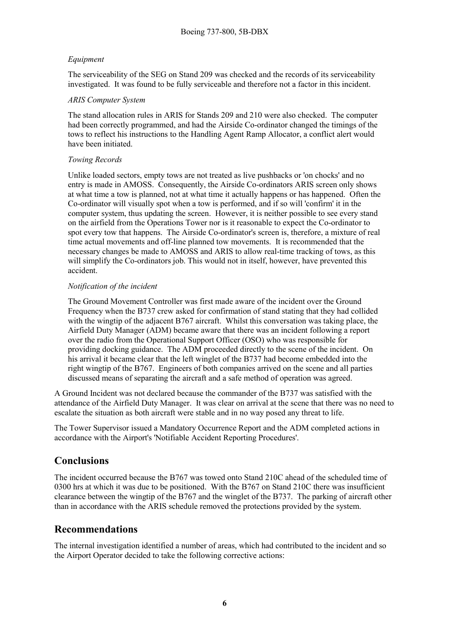## *Equipment*

The serviceability of the SEG on Stand 209 was checked and the records of its serviceability investigated. It was found to be fully serviceable and therefore not a factor in this incident.

#### *ARIS Computer System*

The stand allocation rules in ARIS for Stands 209 and 210 were also checked. The computer had been correctly programmed, and had the Airside Co-ordinator changed the timings of the tows to reflect his instructions to the Handling Agent Ramp Allocator, a conflict alert would have been initiated.

#### *Towing Records*

Unlike loaded sectors, empty tows are not treated as live pushbacks or 'on chocks' and no entry is made in AMOSS. Consequently, the Airside Co-ordinators ARIS screen only shows at what time a tow is planned, not at what time it actually happens or has happened. Often the Co-ordinator will visually spot when a tow is performed, and if so will 'confirm' it in the computer system, thus updating the screen. However, it is neither possible to see every stand on the airfield from the Operations Tower nor is it reasonable to expect the Co-ordinator to spot every tow that happens. The Airside Co-ordinator's screen is, therefore, a mixture of real time actual movements and off-line planned tow movements. It is recommended that the necessary changes be made to AMOSS and ARIS to allow real-time tracking of tows, as this will simplify the Co-ordinators job. This would not in itself, however, have prevented this accident.

## *Notification of the incident*

The Ground Movement Controller was first made aware of the incident over the Ground Frequency when the B737 crew asked for confirmation of stand stating that they had collided with the wingtip of the adjacent B767 aircraft. Whilst this conversation was taking place, the Airfield Duty Manager (ADM) became aware that there was an incident following a report over the radio from the Operational Support Officer (OSO) who was responsible for providing docking guidance. The ADM proceeded directly to the scene of the incident. On his arrival it became clear that the left winglet of the B737 had become embedded into the right wingtip of the B767. Engineers of both companies arrived on the scene and all parties discussed means of separating the aircraft and a safe method of operation was agreed.

A Ground Incident was not declared because the commander of the B737 was satisfied with the attendance of the Airfield Duty Manager. It was clear on arrival at the scene that there was no need to escalate the situation as both aircraft were stable and in no way posed any threat to life.

The Tower Supervisor issued a Mandatory Occurrence Report and the ADM completed actions in accordance with the Airport's 'Notifiable Accident Reporting Procedures'.

# **Conclusions**

The incident occurred because the B767 was towed onto Stand 210C ahead of the scheduled time of 0300 hrs at which it was due to be positioned. With the B767 on Stand 210C there was insufficient clearance between the wingtip of the B767 and the winglet of the B737. The parking of aircraft other than in accordance with the ARIS schedule removed the protections provided by the system.

# **Recommendations**

The internal investigation identified a number of areas, which had contributed to the incident and so the Airport Operator decided to take the following corrective actions: